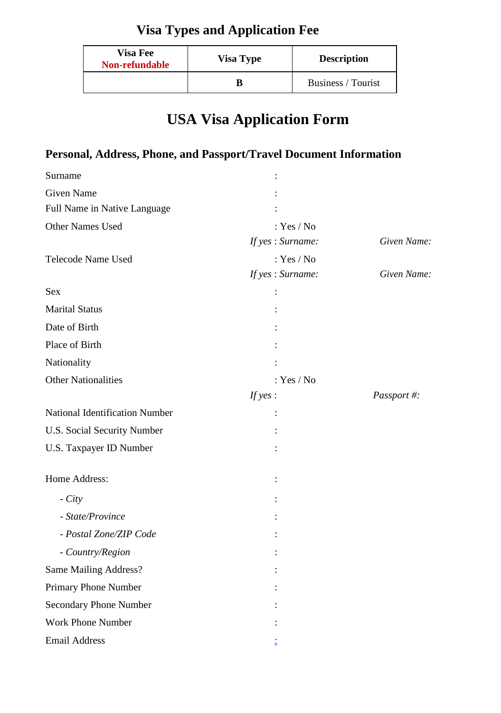# **Visa Types and Application Fee**

| <b>Visa Fee</b><br>Non-refundable | <b>Visa Type</b> | <b>Description</b> |
|-----------------------------------|------------------|--------------------|
|                                   |                  | Business / Tourist |

# **USA Visa Application Form**

## **Personal, Address, Phone, and Passport/Travel Document Information**

| Surname                               |                  |             |
|---------------------------------------|------------------|-------------|
| Given Name                            |                  |             |
| Full Name in Native Language          |                  |             |
| Other Names Used                      | : $Yes / No$     |             |
|                                       | If yes: Surname: | Given Name: |
| Telecode Name Used                    | : $Yes / No$     |             |
|                                       | If yes: Surname: | Given Name: |
| <b>Sex</b>                            |                  |             |
| <b>Marital Status</b>                 |                  |             |
| Date of Birth                         |                  |             |
| Place of Birth                        |                  |             |
| Nationality                           |                  |             |
| <b>Other Nationalities</b>            | : $Yes / No$     |             |
|                                       | If $yes:$        | Passport #: |
| <b>National Identification Number</b> |                  |             |
| U.S. Social Security Number           |                  |             |
| U.S. Taxpayer ID Number               |                  |             |
| Home Address:                         |                  |             |
| $- City$                              |                  |             |
| - State/Province                      |                  |             |
| - Postal Zone/ZIP Code                |                  |             |
| - Country/Region                      |                  |             |
| Same Mailing Address?                 |                  |             |
| Primary Phone Number                  |                  |             |
| <b>Secondary Phone Number</b>         |                  |             |
| <b>Work Phone Number</b>              |                  |             |
| <b>Email Address</b>                  |                  |             |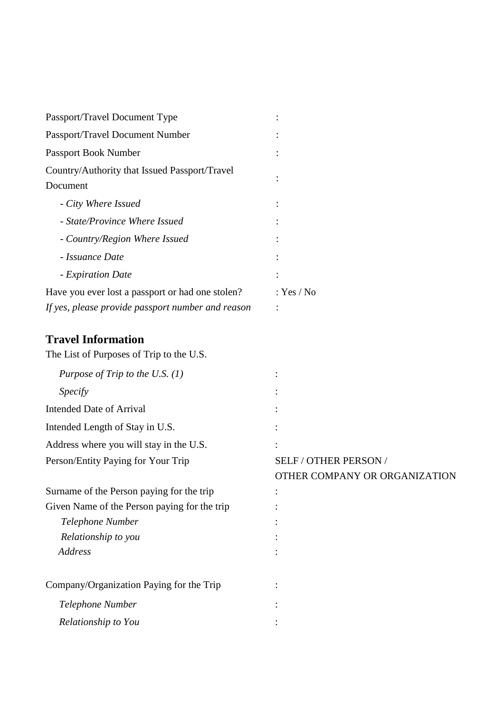| Passport/Travel Document Type                     |            |
|---------------------------------------------------|------------|
| Passport/Travel Document Number                   |            |
| Passport Book Number                              |            |
| Country/Authority that Issued Passport/Travel     |            |
| Document                                          |            |
| - City Where Issued                               |            |
| - State/Province Where Issued                     |            |
| - Country/Region Where Issued                     |            |
| - Issuance Date                                   |            |
| - Expiration Date                                 |            |
| Have you ever lost a passport or had one stolen?  | : Yes / No |
| If yes, please provide passport number and reason |            |

#### **Travel Information**

| The List of Purposes of Trip to the U.S.     |                               |
|----------------------------------------------|-------------------------------|
| Purpose of Trip to the U.S. $(1)$            |                               |
| Specify                                      |                               |
| <b>Intended Date of Arrival</b>              |                               |
| Intended Length of Stay in U.S.              |                               |
| Address where you will stay in the U.S.      |                               |
| Person/Entity Paying for Your Trip           | SELF / OTHER PERSON /         |
|                                              | OTHER COMPANY OR ORGANIZATION |
| Surname of the Person paying for the trip    |                               |
| Given Name of the Person paying for the trip |                               |
| Telephone Number                             |                               |
| Relationship to you                          |                               |
| Address                                      |                               |
|                                              |                               |
| Company/Organization Paying for the Trip     |                               |
| Telephone Number                             |                               |
| Relationship to You                          |                               |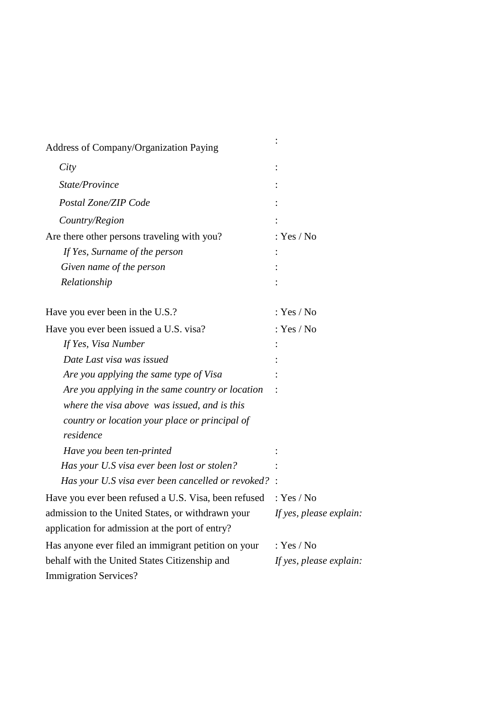| Address of Company/Organization Paying                                    |                         |
|---------------------------------------------------------------------------|-------------------------|
| City                                                                      |                         |
| State/Province                                                            |                         |
| Postal Zone/ZIP Code                                                      |                         |
| Country/Region                                                            |                         |
| Are there other persons traveling with you?                               | : $Yes / No$            |
| If Yes, Surname of the person                                             |                         |
| Given name of the person                                                  |                         |
| Relationship                                                              |                         |
| Have you ever been in the U.S.?                                           | : $Yes / No$            |
| Have you ever been issued a U.S. visa?                                    | : $Yes / No$            |
| If Yes, Visa Number                                                       |                         |
| Date Last visa was issued                                                 |                         |
| Are you applying the same type of Visa                                    |                         |
| Are you applying in the same country or location                          |                         |
| where the visa above was issued, and is this                              |                         |
| country or location your place or principal of                            |                         |
| residence                                                                 |                         |
| Have you been ten-printed                                                 |                         |
| Has your U.S visa ever been lost or stolen?                               |                         |
| Has your U.S visa ever been cancelled or revoked? :                       |                         |
| Have you ever been refused a U.S. Visa, been refused : Yes / No           |                         |
| admission to the United States, or withdrawn your If yes, please explain: |                         |
| application for admission at the port of entry?                           |                         |
| Has anyone ever filed an immigrant petition on your                       | : $Yes / No$            |
| behalf with the United States Citizenship and                             | If yes, please explain: |
| <b>Immigration Services?</b>                                              |                         |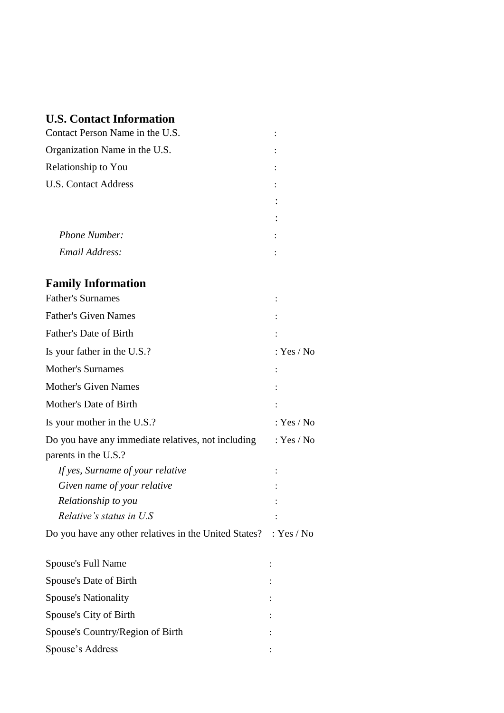#### **U.S. Contact Information**

| Contact Person Name in the U.S.                                            |              |
|----------------------------------------------------------------------------|--------------|
| Organization Name in the U.S.                                              |              |
| Relationship to You                                                        |              |
| <b>U.S. Contact Address</b>                                                |              |
|                                                                            |              |
|                                                                            |              |
| Phone Number:                                                              |              |
| Email Address:                                                             |              |
| <b>Family Information</b>                                                  |              |
| <b>Father's Surnames</b>                                                   |              |
| <b>Father's Given Names</b>                                                |              |
| Father's Date of Birth                                                     |              |
| Is your father in the U.S.?                                                | : Yes / No   |
| <b>Mother's Surnames</b>                                                   |              |
| <b>Mother's Given Names</b>                                                |              |
| Mother's Date of Birth                                                     |              |
| Is your mother in the U.S.?                                                | : $Yes / No$ |
| Do you have any immediate relatives, not including<br>parents in the U.S.? | : Yes / No   |
| If yes, Surname of your relative                                           |              |
| Given name of your relative                                                |              |
| Relationship to you                                                        |              |
| Relative's status in U.S.                                                  |              |
| Do you have any other relatives in the United States?                      | : Yes / No   |
| Spouse's Full Name                                                         |              |
| Spouse's Date of Birth                                                     |              |
| <b>Spouse's Nationality</b>                                                |              |
| Spouse's City of Birth                                                     |              |
| Spouse's Country/Region of Birth                                           |              |
| Spouse's Address                                                           |              |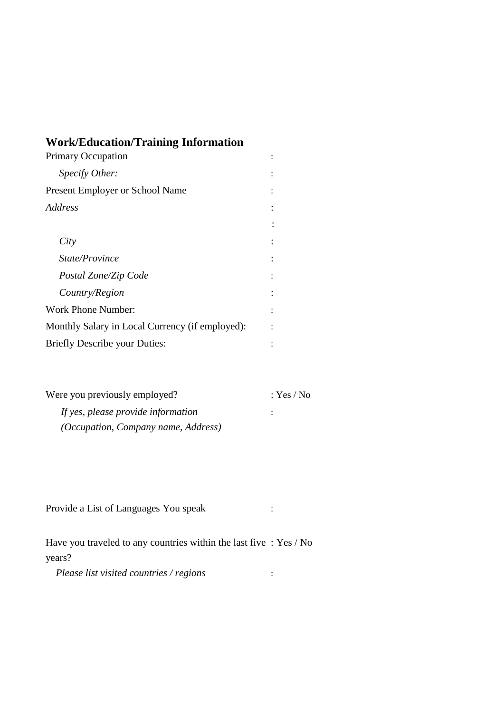## **Work/Education/Training Information**

| <b>Primary Occupation</b>                       |  |
|-------------------------------------------------|--|
| Specify Other:                                  |  |
| <b>Present Employer or School Name</b>          |  |
| <i>Address</i>                                  |  |
|                                                 |  |
| City                                            |  |
| State/Province                                  |  |
| Postal Zone/Zip Code                            |  |
| Country/Region                                  |  |
| Work Phone Number:                              |  |
| Monthly Salary in Local Currency (if employed): |  |
| <b>Briefly Describe your Duties:</b>            |  |

| Were you previously employed?              | : Yes / No |
|--------------------------------------------|------------|
| If yes, please provide information         | ٠          |
| <i>(Occupation, Company name, Address)</i> |            |

| Provide a List of Languages You speak |  |
|---------------------------------------|--|
|---------------------------------------|--|

| Have you traveled to any countries within the last five $: Yes / No$ |  |
|----------------------------------------------------------------------|--|
| years?                                                               |  |

*Please list visited countries / regions* :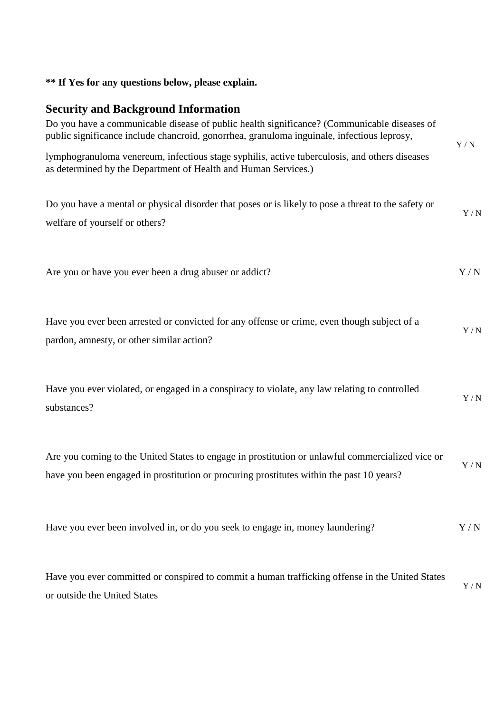## **\*\* If Yes for any questions below, please explain.**

#### **Security and Background Information**

| Do you have a communicable disease of public health significance? (Communicable diseases of<br>public significance include chancroid, gonorrhea, granuloma inguinale, infectious leprosy,    | $\mathbf{Y}$ / $\mathbf{N}$ |
|----------------------------------------------------------------------------------------------------------------------------------------------------------------------------------------------|-----------------------------|
| lymphogranuloma venereum, infectious stage syphilis, active tuberculosis, and others diseases<br>as determined by the Department of Health and Human Services.)                              |                             |
| Do you have a mental or physical disorder that poses or is likely to pose a threat to the safety or<br>welfare of yourself or others?                                                        | Y/N                         |
| Are you or have you ever been a drug abuser or addict?                                                                                                                                       | Y/N                         |
| Have you ever been arrested or convicted for any offense or crime, even though subject of a<br>pardon, amnesty, or other similar action?                                                     | $\mathbf{Y}$ / $\mathbf{N}$ |
| Have you ever violated, or engaged in a conspiracy to violate, any law relating to controlled<br>substances?                                                                                 | $\mathbf{Y}$ / $\mathbf{N}$ |
| Are you coming to the United States to engage in prostitution or unlawful commercialized vice or<br>have you been engaged in prostitution or procuring prostitutes within the past 10 years? | Y/N                         |
| Have you ever been involved in, or do you seek to engage in, money laundering?                                                                                                               | Y/N                         |
| Have you ever committed or conspired to commit a human trafficking offense in the United States<br>or outside the United States                                                              | Y/N                         |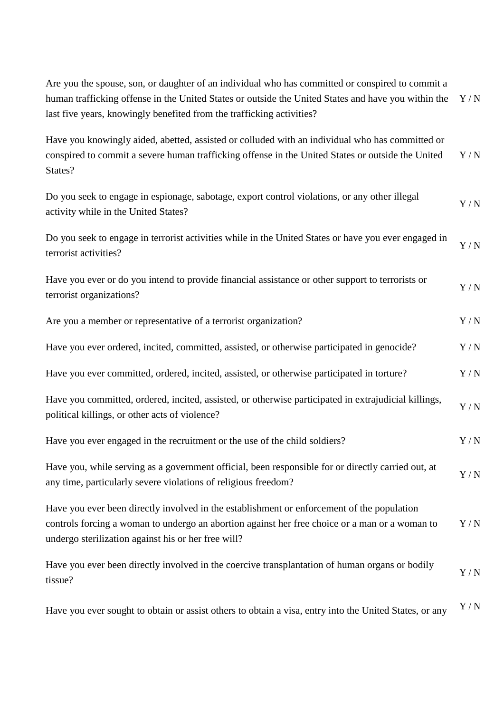| Are you the spouse, son, or daughter of an individual who has committed or conspired to commit a<br>human trafficking offense in the United States or outside the United States and have you within the<br>last five years, knowingly benefited from the trafficking activities? | Y/N                           |
|----------------------------------------------------------------------------------------------------------------------------------------------------------------------------------------------------------------------------------------------------------------------------------|-------------------------------|
| Have you knowingly aided, abetted, assisted or colluded with an individual who has committed or<br>conspired to commit a severe human trafficking offense in the United States or outside the United<br>States?                                                                  | Y/N                           |
| Do you seek to engage in espionage, sabotage, export control violations, or any other illegal<br>activity while in the United States?                                                                                                                                            | Y/N                           |
| Do you seek to engage in terrorist activities while in the United States or have you ever engaged in<br>terrorist activities?                                                                                                                                                    | Y/N                           |
| Have you ever or do you intend to provide financial assistance or other support to terrorists or<br>terrorist organizations?                                                                                                                                                     | Y/N                           |
| Are you a member or representative of a terrorist organization?                                                                                                                                                                                                                  | Y/N                           |
| Have you ever ordered, incited, committed, assisted, or otherwise participated in genocide?                                                                                                                                                                                      | Y/N                           |
| Have you ever committed, ordered, incited, assisted, or otherwise participated in torture?                                                                                                                                                                                       | $\mathbf{Y} \,/\, \mathbf{N}$ |
| Have you committed, ordered, incited, assisted, or otherwise participated in extrajudicial killings,<br>political killings, or other acts of violence?                                                                                                                           | $\mathbf{Y}$ / $\mathbf{N}$   |
| Have you ever engaged in the recruitment or the use of the child soldiers?                                                                                                                                                                                                       | Y/N                           |
| Have you, while serving as a government official, been responsible for or directly carried out, at<br>any time, particularly severe violations of religious freedom?                                                                                                             | Y/N                           |
| Have you ever been directly involved in the establishment or enforcement of the population<br>controls forcing a woman to undergo an abortion against her free choice or a man or a woman to<br>undergo sterilization against his or her free will?                              | Y/N                           |
| Have you ever been directly involved in the coercive transplantation of human organs or bodily<br>tissue?                                                                                                                                                                        | Y/N                           |
| Have you ever sought to obtain or assist others to obtain a visa, entry into the United States, or any                                                                                                                                                                           | Y/N                           |